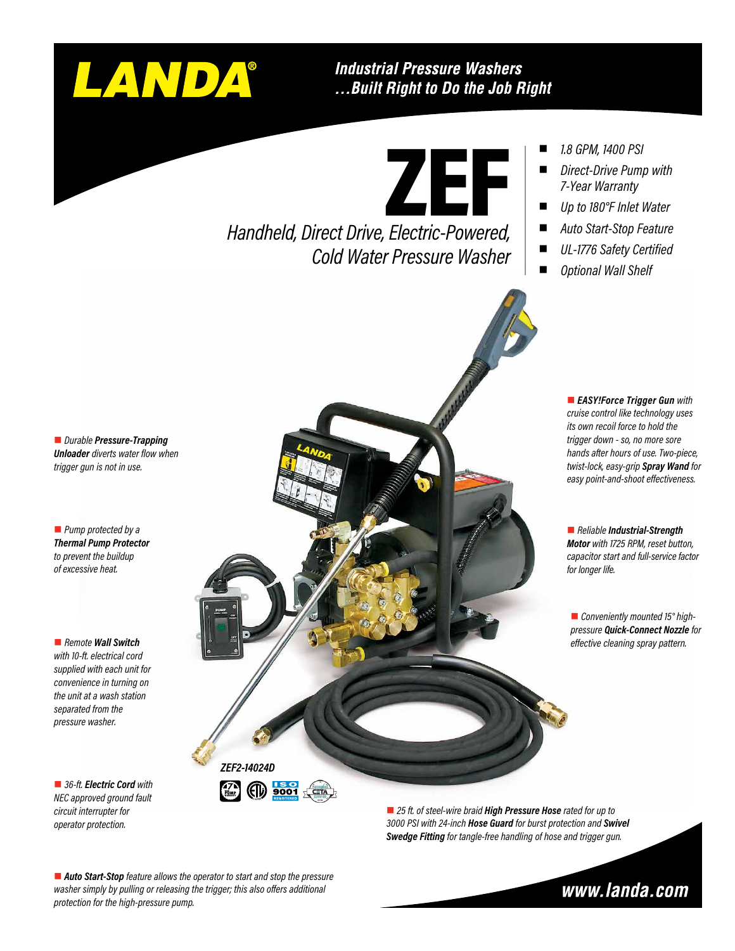

### **Industrial Pressure Washers** ... Built Right to Do the Job Right

ZEF

*Handheld, Direct Drive, Electric-Powered, Cold Water Pressure Washer*

- n *1.8 GPM, 1400 PSI*
- **Direct-Drive Pump with** *7-Year Warranty*
- n *Up to 180°F Inlet Water*
- n *Auto Start-Stop Feature*
- UL-1776 Safety Certified

■ *EASY!Force Trigger Gun with cruise control like technology uses its own recoil force to hold the trigger down - so, no more sore hands after hours of use. Two-piece, twist-lock, easy-grip Spray Wand for easy point-and-shoot effectiveness.*

■ *Conveniently mounted 15° highpressure Quick-Connect Nozzle for effective cleaning spray pattern.*

■ *Reliable Industrial-Strength Motor with 1725 RPM, reset button, capacitor start and full-service factor* 

*for longer life.*

■ *Optional Wall Shelf* 

■ *Durable Pressure-Trapping Unloader diverts water flow when trigger gun is not in use.*

**n** *Pump protected by a Thermal Pump Protector to prevent the buildup of excessive heat.*

■ *Remote Wall Switch with 10-ft. electrical cord supplied with each unit for convenience in turning on the unit at a wash station separated from the pressure washer.*

■ 36-ft. *Electric Cord with NEC approved ground fault circuit interrupter for operator protection.*



■ 25 ft. of steel-wire braid **High Pressure Hose** rated for up to *3000 PSI with 24-inch Hose Guard for burst protection and Swivel Swedge Fitting for tangle-free handling of hose and trigger gun.*

■ Auto Start-Stop feature allows the operator to start and stop the pressure *washer simply by pulling or releasing the trigger; this also offers additional protection for the high-pressure pump.*

www.landa.com